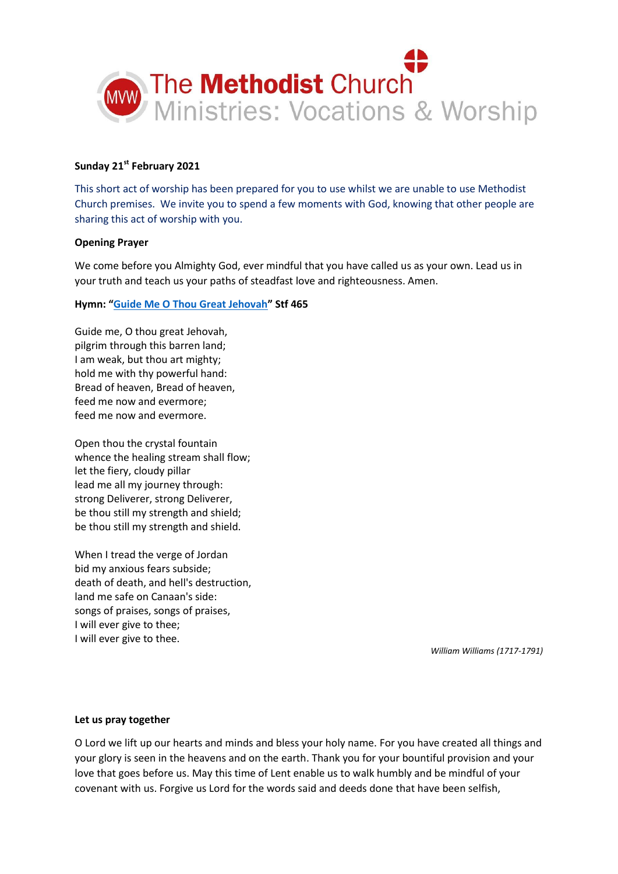

# **Sunday 21st February 2021**

This short act of worship has been prepared for you to use whilst we are unable to use Methodist Church premises. We invite you to spend a few moments with God, knowing that other people are sharing this act of worship with you.

### **Opening Prayer**

We come before you Almighty God, ever mindful that you have called us as your own. Lead us in your truth and teach us your paths of steadfast love and righteousness. Amen.

### **Hymn: "[Guide Me O Thou Great Jehovah](https://www.youtube.com/watch?v=5j48TLIRb4Q)" Stf 465**

Guide me, O thou great Jehovah, pilgrim through this barren land; I am weak, but thou art mighty; hold me with thy powerful hand: Bread of heaven, Bread of heaven, feed me now and evermore; feed me now and evermore.

Open thou the crystal fountain whence the healing stream shall flow; let the fiery, cloudy pillar lead me all my journey through: strong Deliverer, strong Deliverer, be thou still my strength and shield; be thou still my strength and shield.

When I tread the verge of Jordan bid my anxious fears subside; death of death, and hell's destruction, land me safe on Canaan's side: songs of praises, songs of praises, I will ever give to thee; I will ever give to thee.

*William Williams (1717-1791)*

#### **Let us pray together**

O Lord we lift up our hearts and minds and bless your holy name. For you have created all things and your glory is seen in the heavens and on the earth. Thank you for your bountiful provision and your love that goes before us. May this time of Lent enable us to walk humbly and be mindful of your covenant with us. Forgive us Lord for the words said and deeds done that have been selfish,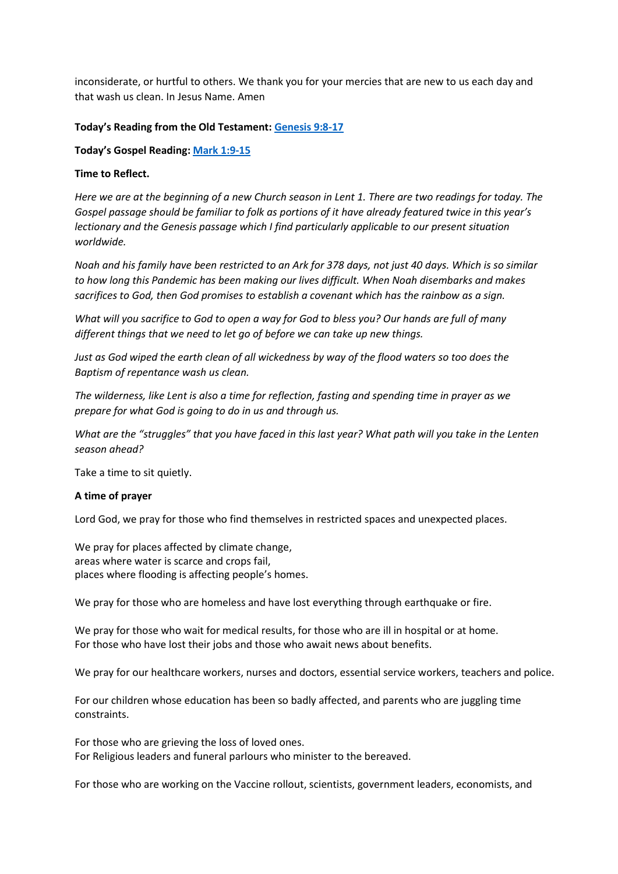inconsiderate, or hurtful to others. We thank you for your mercies that are new to us each day and that wash us clean. In Jesus Name. Amen

### **Today's Reading from the Old Testament[: Genesis 9:8-17](https://www.biblegateway.com/passage/?search=Genesis+9%3A8-17+&version=NIV)**

**Today's Gospel Reading: [Mark 1:9-15](https://www.biblegateway.com/passage/?search=Mark+1%3A9-15&version=NIV)**

#### **Time to Reflect.**

*Here we are at the beginning of a new Church season in Lent 1. There are two readings for today. The Gospel passage should be familiar to folk as portions of it have already featured twice in this year's lectionary and the Genesis passage which I find particularly applicable to our present situation worldwide.*

*Noah and his family have been restricted to an Ark for 378 days, not just 40 days. Which is so similar to how long this Pandemic has been making our lives difficult. When Noah disembarks and makes sacrifices to God, then God promises to establish a covenant which has the rainbow as a sign.*

*What will you sacrifice to God to open a way for God to bless you? Our hands are full of many different things that we need to let go of before we can take up new things.*

*Just as God wiped the earth clean of all wickedness by way of the flood waters so too does the Baptism of repentance wash us clean.*

*The wilderness, like Lent is also a time for reflection, fasting and spending time in prayer as we prepare for what God is going to do in us and through us.*

*What are the "struggles" that you have faced in this last year? What path will you take in the Lenten season ahead?* 

Take a time to sit quietly.

#### **A time of prayer**

Lord God, we pray for those who find themselves in restricted spaces and unexpected places.

We pray for places affected by climate change, areas where water is scarce and crops fail, places where flooding is affecting people's homes.

We pray for those who are homeless and have lost everything through earthquake or fire.

We pray for those who wait for medical results, for those who are ill in hospital or at home. For those who have lost their jobs and those who await news about benefits.

We pray for our healthcare workers, nurses and doctors, essential service workers, teachers and police.

For our children whose education has been so badly affected, and parents who are juggling time constraints.

For those who are grieving the loss of loved ones. For Religious leaders and funeral parlours who minister to the bereaved.

For those who are working on the Vaccine rollout, scientists, government leaders, economists, and